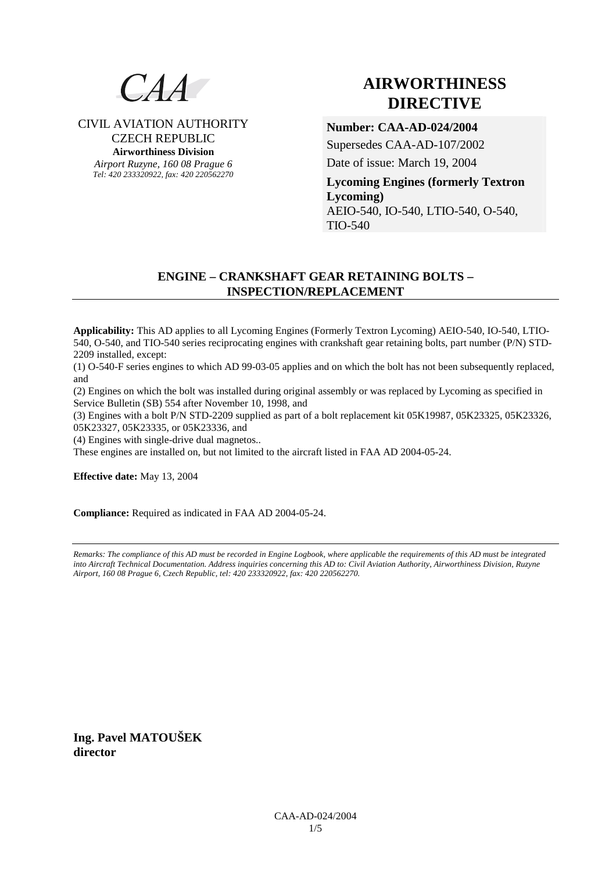

# CIVIL AVIATION AUTHORITY CZECH REPUBLIC **Airworthiness Division**

*Airport Ruzyne, 160 08 Prague 6 Tel: 420 233320922, fax: 420 220562270*

# **AIRWORTHINESS DIRECTIVE**

# **Number: CAA-AD-024/2004**

Supersedes CAA-AD-107/2002

Date of issue: March 19, 2004

**Lycoming Engines (formerly Textron Lycoming)**  AEIO-540, IO-540, LTIO-540, O-540, TIO-540

# **ENGINE – CRANKSHAFT GEAR RETAINING BOLTS – INSPECTION/REPLACEMENT**

**Applicability:** This AD applies to all Lycoming Engines (Formerly Textron Lycoming) AEIO-540, IO-540, LTIO-540, O-540, and TIO-540 series reciprocating engines with crankshaft gear retaining bolts, part number (P/N) STD-2209 installed, except:

(1) O-540-F series engines to which AD 99-03-05 applies and on which the bolt has not been subsequently replaced, and

(2) Engines on which the bolt was installed during original assembly or was replaced by Lycoming as specified in Service Bulletin (SB) 554 after November 10, 1998, and

(3) Engines with a bolt P/N STD-2209 supplied as part of a bolt replacement kit 05K19987, 05K23325, 05K23326, 05K23327, 05K23335, or 05K23336, and

(4) Engines with single-drive dual magnetos..

These engines are installed on, but not limited to the aircraft listed in FAA AD 2004-05-24.

**Effective date:** May 13, 2004

**Compliance:** Required as indicated in FAA AD 2004-05-24.

*Remarks: The compliance of this AD must be recorded in Engine Logbook, where applicable the requirements of this AD must be integrated into Aircraft Technical Documentation. Address inquiries concerning this AD to: Civil Aviation Authority, Airworthiness Division, Ruzyne Airport, 160 08 Prague 6, Czech Republic, tel: 420 233320922, fax: 420 220562270.* 

**Ing. Pavel MATOUŠEK director**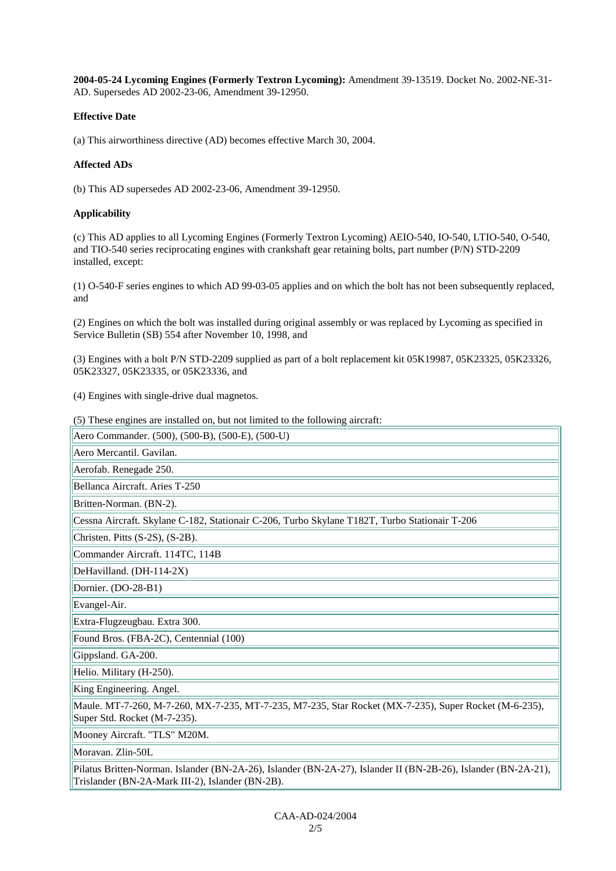**2004-05-24 Lycoming Engines (Formerly Textron Lycoming):** Amendment 39-13519. Docket No. 2002-NE-31- AD. Supersedes AD 2002-23-06, Amendment 39-12950.

## **Effective Date**

(a) This airworthiness directive (AD) becomes effective March 30, 2004.

## **Affected ADs**

(b) This AD supersedes AD 2002-23-06, Amendment 39-12950.

## **Applicability**

(c) This AD applies to all Lycoming Engines (Formerly Textron Lycoming) AEIO-540, IO-540, LTIO-540, O-540, and TIO-540 series reciprocating engines with crankshaft gear retaining bolts, part number (P/N) STD-2209 installed, except:

(1) O-540-F series engines to which AD 99-03-05 applies and on which the bolt has not been subsequently replaced, and

(2) Engines on which the bolt was installed during original assembly or was replaced by Lycoming as specified in Service Bulletin (SB) 554 after November 10, 1998, and

(3) Engines with a bolt P/N STD-2209 supplied as part of a bolt replacement kit 05K19987, 05K23325, 05K23326, 05K23327, 05K23335, or 05K23336, and

(4) Engines with single-drive dual magnetos.

(5) These engines are installed on, but not limited to the following aircraft:

Aero Commander. (500), (500-B), (500-E), (500-U)

Aero Mercantil. Gavilan.

Aerofab. Renegade 250.

Bellanca Aircraft. Aries T-250

Britten-Norman. (BN-2).

Cessna Aircraft. Skylane C-182, Stationair C-206, Turbo Skylane T182T, Turbo Stationair T-206

Christen. Pitts (S-2S), (S-2B).

Commander Aircraft. 114TC, 114B

DeHavilland. (DH-114-2X)

Dornier. (DO-28-B1)

Evangel-Air.

Extra-Flugzeugbau. Extra 300.

Found Bros. (FBA-2C), Centennial (100)

Gippsland. GA-200.

Helio. Military (H-250).

King Engineering. Angel.

Maule. MT-7-260, M-7-260, MX-7-235, MT-7-235, M7-235, Star Rocket (MX-7-235), Super Rocket (M-6-235), Super Std. Rocket (M-7-235).

Mooney Aircraft. "TLS" M20M.

Moravan. Zlin-50L

Pilatus Britten-Norman. Islander (BN-2A-26), Islander (BN-2A-27), Islander II (BN-2B-26), Islander (BN-2A-21), Trislander (BN-2A-Mark III-2), Islander (BN-2B).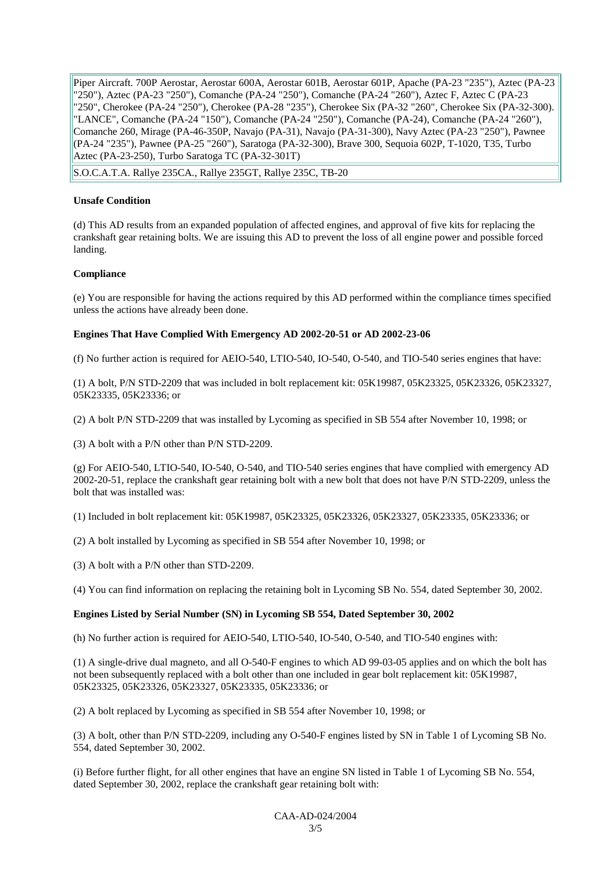Piper Aircraft. 700P Aerostar, Aerostar 600A, Aerostar 601B, Aerostar 601P, Apache (PA-23 "235"), Aztec (PA-23 "250"), Aztec (PA-23 "250"), Comanche (PA-24 "250"), Comanche (PA-24 "260"), Aztec F, Aztec C (PA-23 "250", Cherokee (PA-24 "250"), Cherokee (PA-28 "235"), Cherokee Six (PA-32 "260", Cherokee Six (PA-32-300). "LANCE", Comanche (PA-24 "150"), Comanche (PA-24 "250"), Comanche (PA-24), Comanche (PA-24 "260"), Comanche 260, Mirage (PA-46-350P, Navajo (PA-31), Navajo (PA-31-300), Navy Aztec (PA-23 "250"), Pawnee (PA-24 "235"), Pawnee (PA-25 "260"), Saratoga (PA-32-300), Brave 300, Sequoia 602P, T-1020, T35, Turbo Aztec (PA-23-250), Turbo Saratoga TC (PA-32-301T)

S.O.C.A.T.A. Rallye 235CA., Rallye 235GT, Rallye 235C, TB-20

#### **Unsafe Condition**

(d) This AD results from an expanded population of affected engines, and approval of five kits for replacing the crankshaft gear retaining bolts. We are issuing this AD to prevent the loss of all engine power and possible forced landing.

### **Compliance**

(e) You are responsible for having the actions required by this AD performed within the compliance times specified unless the actions have already been done.

### **Engines That Have Complied With Emergency AD 2002-20-51 or AD 2002-23-06**

(f) No further action is required for AEIO-540, LTIO-540, IO-540, O-540, and TIO-540 series engines that have:

(1) A bolt, P/N STD-2209 that was included in bolt replacement kit: 05K19987, 05K23325, 05K23326, 05K23327, 05K23335, 05K23336; or

(2) A bolt P/N STD-2209 that was installed by Lycoming as specified in SB 554 after November 10, 1998; or

(3) A bolt with a P/N other than P/N STD-2209.

(g) For AEIO-540, LTIO-540, IO-540, O-540, and TIO-540 series engines that have complied with emergency AD 2002-20-51, replace the crankshaft gear retaining bolt with a new bolt that does not have P/N STD-2209, unless the bolt that was installed was:

(1) Included in bolt replacement kit: 05K19987, 05K23325, 05K23326, 05K23327, 05K23335, 05K23336; or

(2) A bolt installed by Lycoming as specified in SB 554 after November 10, 1998; or

(3) A bolt with a P/N other than STD-2209.

(4) You can find information on replacing the retaining bolt in Lycoming SB No. 554, dated September 30, 2002.

#### **Engines Listed by Serial Number (SN) in Lycoming SB 554, Dated September 30, 2002**

(h) No further action is required for AEIO-540, LTIO-540, IO-540, O-540, and TIO-540 engines with:

(1) A single-drive dual magneto, and all O-540-F engines to which AD 99-03-05 applies and on which the bolt has not been subsequently replaced with a bolt other than one included in gear bolt replacement kit: 05K19987, 05K23325, 05K23326, 05K23327, 05K23335, 05K23336; or

(2) A bolt replaced by Lycoming as specified in SB 554 after November 10, 1998; or

(3) A bolt, other than P/N STD-2209, including any O-540-F engines listed by SN in Table 1 of Lycoming SB No. 554, dated September 30, 2002.

(i) Before further flight, for all other engines that have an engine SN listed in Table 1 of Lycoming SB No. 554, dated September 30, 2002, replace the crankshaft gear retaining bolt with: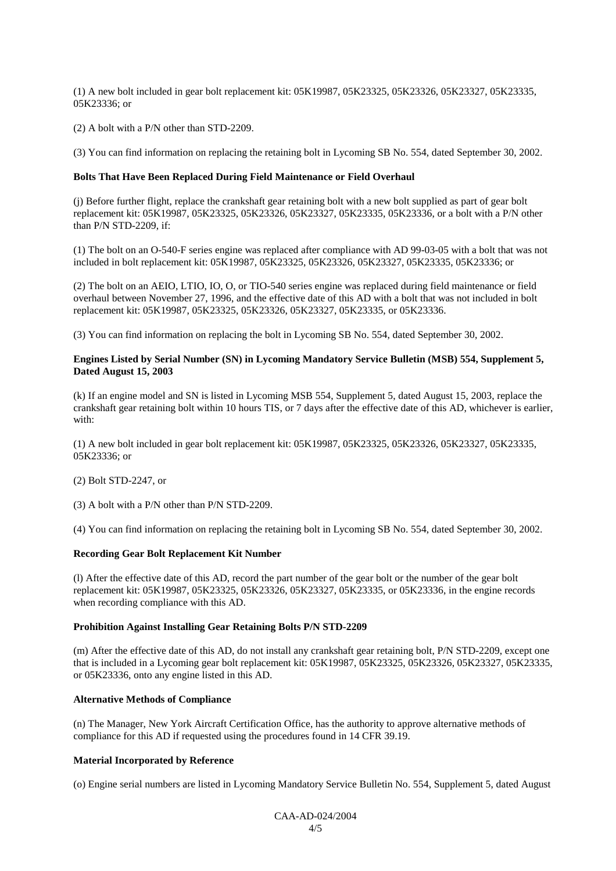(1) A new bolt included in gear bolt replacement kit: 05K19987, 05K23325, 05K23326, 05K23327, 05K23335, 05K23336; or

(2) A bolt with a P/N other than STD-2209.

(3) You can find information on replacing the retaining bolt in Lycoming SB No. 554, dated September 30, 2002.

#### **Bolts That Have Been Replaced During Field Maintenance or Field Overhaul**

(j) Before further flight, replace the crankshaft gear retaining bolt with a new bolt supplied as part of gear bolt replacement kit: 05K19987, 05K23325, 05K23326, 05K23327, 05K23335, 05K23336, or a bolt with a P/N other than P/N STD-2209, if:

(1) The bolt on an O-540-F series engine was replaced after compliance with AD 99-03-05 with a bolt that was not included in bolt replacement kit: 05K19987, 05K23325, 05K23326, 05K23327, 05K23335, 05K23336; or

(2) The bolt on an AEIO, LTIO, IO, O, or TIO-540 series engine was replaced during field maintenance or field overhaul between November 27, 1996, and the effective date of this AD with a bolt that was not included in bolt replacement kit: 05K19987, 05K23325, 05K23326, 05K23327, 05K23335, or 05K23336.

(3) You can find information on replacing the bolt in Lycoming SB No. 554, dated September 30, 2002.

#### **Engines Listed by Serial Number (SN) in Lycoming Mandatory Service Bulletin (MSB) 554, Supplement 5, Dated August 15, 2003**

(k) If an engine model and SN is listed in Lycoming MSB 554, Supplement 5, dated August 15, 2003, replace the crankshaft gear retaining bolt within 10 hours TIS, or 7 days after the effective date of this AD, whichever is earlier, with:

(1) A new bolt included in gear bolt replacement kit: 05K19987, 05K23325, 05K23326, 05K23327, 05K23335, 05K23336; or

(2) Bolt STD-2247, or

(3) A bolt with a P/N other than P/N STD-2209.

(4) You can find information on replacing the retaining bolt in Lycoming SB No. 554, dated September 30, 2002.

#### **Recording Gear Bolt Replacement Kit Number**

(l) After the effective date of this AD, record the part number of the gear bolt or the number of the gear bolt replacement kit: 05K19987, 05K23325, 05K23326, 05K23327, 05K23335, or 05K23336, in the engine records when recording compliance with this AD.

#### **Prohibition Against Installing Gear Retaining Bolts P/N STD-2209**

(m) After the effective date of this AD, do not install any crankshaft gear retaining bolt, P/N STD-2209, except one that is included in a Lycoming gear bolt replacement kit: 05K19987, 05K23325, 05K23326, 05K23327, 05K23335, or 05K23336, onto any engine listed in this AD.

#### **Alternative Methods of Compliance**

(n) The Manager, New York Aircraft Certification Office, has the authority to approve alternative methods of compliance for this AD if requested using the procedures found in 14 CFR 39.19.

#### **Material Incorporated by Reference**

(o) Engine serial numbers are listed in Lycoming Mandatory Service Bulletin No. 554, Supplement 5, dated August